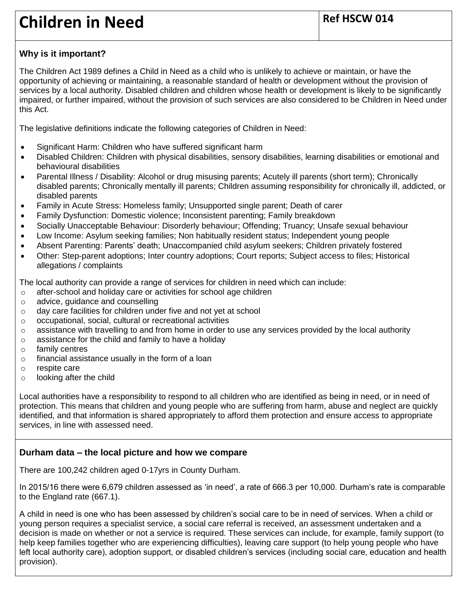# **Children in Need Ref HSCW 014**

# **Why is it important?**

The Children Act 1989 defines a Child in Need as a child who is unlikely to achieve or maintain, or have the opportunity of achieving or maintaining, a reasonable standard of health or development without the provision of services by a local authority. Disabled children and children whose health or development is likely to be significantly impaired, or further impaired, without the provision of such services are also considered to be Children in Need under this Act.

The legislative definitions indicate the following categories of Children in Need:

- Significant Harm: Children who have suffered [significant harm](http://www.proceduresonline.com/resources/keywords_online/nat_key/keywords/significant_harm.html)
- Disabled Children: Children with physical disabilities, sensory disabilities, learning disabilities or emotional and behavioural disabilities
- Parental Illness / Disability: Alcohol or drug misusing parents; Acutely ill parents (short term); Chronically disabled parents; Chronically mentally ill parents; Children assuming responsibility for chronically ill, addicted, or disabled parents
- Family in Acute Stress: Homeless family; Unsupported single parent; Death of carer
- Family Dysfunction: Domestic violence; Inconsistent parenting; Family breakdown
- Socially Unacceptable Behaviour: Disorderly behaviour; Offending; Truancy; Unsafe sexual behaviour
- Low Income: Asylum seeking families; Non habitually resident status; Independent young people
- Absent Parenting: Parents' death; Unaccompanied child asylum seekers; Children [privately fostered](http://www.proceduresonline.com/resources/keywords_online/nat_key/keywords/private_fostering.html)
- Other: Step-parent adoptions; Inter country adoptions; Court reports; Subject access to files; Historical allegations / complaints

The local authority can provide a range of services for children in need which can include:

- o after-school and holiday care or activities for school age children
- o advice, guidance and counselling
- o day care facilities for children under five and not yet at school
- o occupational, social, cultural or recreational activities
- o assistance with travelling to and from home in order to use any services provided by the local authority
- o assistance for the child and family to have a holiday
- o family centres
- o financial assistance usually in the form of a loan
- o respite care
- o looking after the child

Local authorities have a responsibility to respond to all children who are identified as being in need, or in need of protection. This means that children and young people who are suffering from harm, abuse and neglect are quickly identified, and that information is shared appropriately to afford them protection and ensure access to appropriate services, in line with assessed need.

# **Durham data – the local picture and how we compare**

There are 100,242 children aged 0-17yrs in County Durham.

In 2015/16 there were 6,679 children assessed as 'in need', a rate of 666.3 per 10,000. Durham's rate is comparable to the England rate (667.1).

A child in need is one who has been assessed by children's social care to be in need of services. When a child or young person requires a specialist service, a social care referral is received, an assessment undertaken and a decision is made on whether or not a service is required. These services can include, for example, family support (to help keep families together who are experiencing difficulties), leaving care support (to help young people who have left local authority care), adoption support, or disabled children's services (including social care, education and health provision).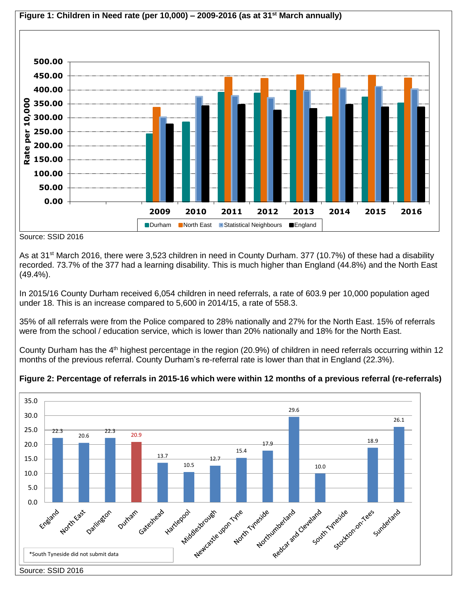

Source: SSID 2016

As at 31<sup>st</sup> March 2016, there were 3,523 children in need in County Durham. 377 (10.7%) of these had a disability recorded. 73.7% of the 377 had a learning disability. This is much higher than England (44.8%) and the North East (49.4%).

In 2015/16 County Durham received 6,054 children in need referrals, a rate of 603.9 per 10,000 population aged under 18. This is an increase compared to 5,600 in 2014/15, a rate of 558.3.

35% of all referrals were from the Police compared to 28% nationally and 27% for the North East. 15% of referrals were from the school / education service, which is lower than 20% nationally and 18% for the North East.

County Durham has the 4<sup>th</sup> highest percentage in the region (20.9%) of children in need referrals occurring within 12 months of the previous referral. County Durham's re-referral rate is lower than that in England (22.3%).

## **Figure 2: Percentage of referrals in 2015-16 which were within 12 months of a previous referral (re-referrals)**

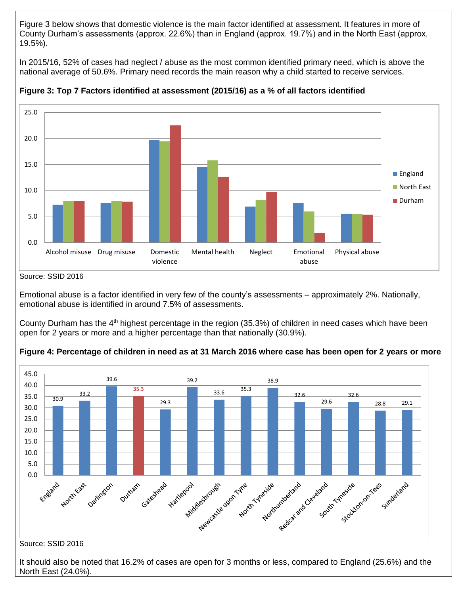Figure 3 below shows that domestic violence is the main factor identified at assessment. It features in more of County Durham's assessments (approx. 22.6%) than in England (approx. 19.7%) and in the North East (approx. 19.5%).

In 2015/16, 52% of cases had neglect / abuse as the most common identified primary need, which is above the national average of 50.6%. Primary need records the main reason why a child started to receive services.



**Figure 3: Top 7 Factors identified at assessment (2015/16) as a % of all factors identified**

Emotional abuse is a factor identified in very few of the county's assessments – approximately 2%. Nationally, emotional abuse is identified in around 7.5% of assessments.

County Durham has the 4<sup>th</sup> highest percentage in the region (35.3%) of children in need cases which have been open for 2 years or more and a higher percentage than that nationally (30.9%).



**Figure 4: Percentage of children in need as at 31 March 2016 where case has been open for 2 years or more**

#### Source: SSID 2016

It should also be noted that 16.2% of cases are open for 3 months or less, compared to England (25.6%) and the North East (24.0%).

Source: SSID 2016